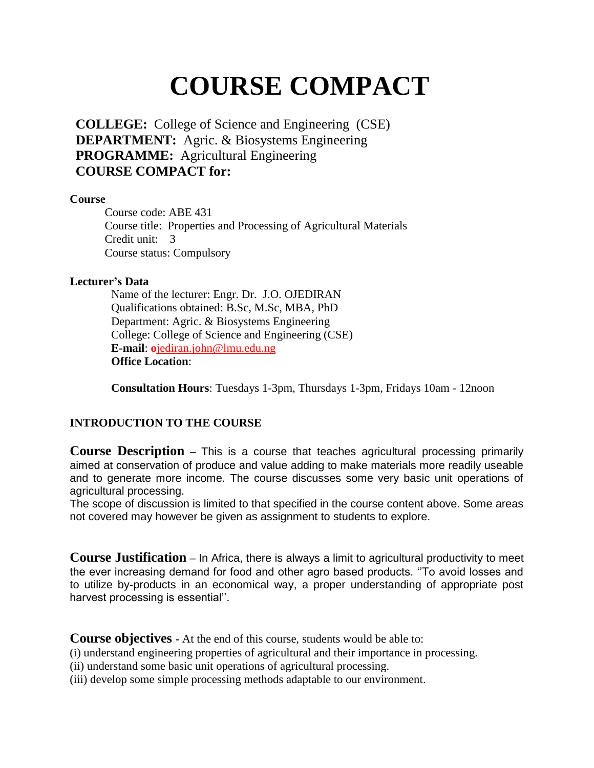# **COURSE COMPACT**

**COLLEGE:** College of Science and Engineering (CSE) **DEPARTMENT:** Agric. & Biosystems Engineering **PROGRAMME:** Agricultural Engineering **COURSE COMPACT for:** 

# **Course**

Course code: ABE 431 Course title: Properties and Processing of Agricultural Materials Credit unit: 3 Course status: Compulsory

# **Lecturer's Data**

Name of the lecturer: Engr. Dr. J.O. OJEDIRAN Qualifications obtained: B.Sc, M.Sc, MBA, PhD Department: Agric. & Biosystems Engineering College: College of Science and Engineering (CSE) **E-mail**: **o**jediran.john@lmu.edu.ng **Office Location**:

**Consultation Hours**: Tuesdays 1-3pm, Thursdays 1-3pm, Fridays 10am - 12noon

# **INTRODUCTION TO THE COURSE**

**Course Description –** This is a course that teaches agricultural processing primarily aimed at conservation of produce and value adding to make materials more readily useable and to generate more income. The course discusses some very basic unit operations of agricultural processing.

The scope of discussion is limited to that specified in the course content above. Some areas not covered may however be given as assignment to students to explore.

**Course Justification –** In Africa, there is always a limit to agricultural productivity to meet the ever increasing demand for food and other agro based products. ''To avoid losses and to utilize by-products in an economical way, a proper understanding of appropriate post harvest processing is essential''.

**Course objectives -** At the end of this course, students would be able to:

(i) understand engineering properties of agricultural and their importance in processing.

(ii) understand some basic unit operations of agricultural processing.

(iii) develop some simple processing methods adaptable to our environment.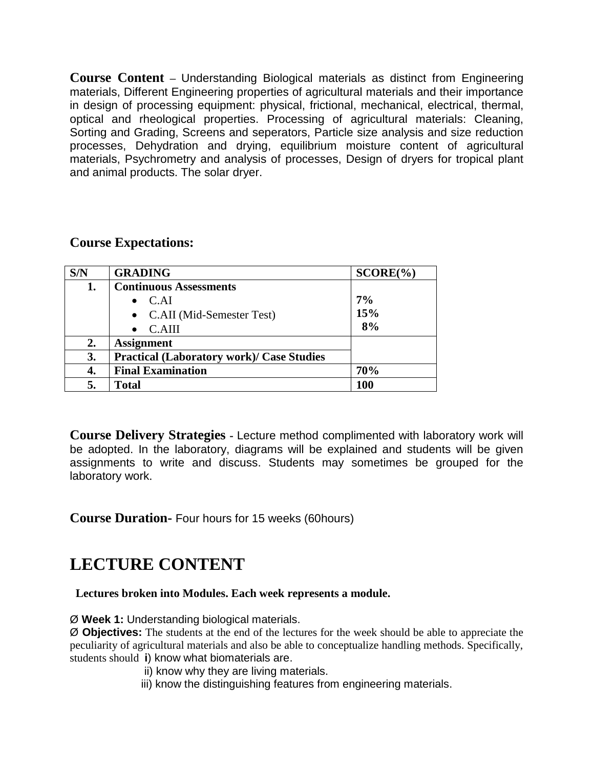**Course Content –** Understanding Biological materials as distinct from Engineering materials, Different Engineering properties of agricultural materials and their importance in design of processing equipment: physical, frictional, mechanical, electrical, thermal, optical and rheological properties. Processing of agricultural materials: Cleaning, Sorting and Grading, Screens and seperators, Particle size analysis and size reduction processes, Dehydration and drying, equilibrium moisture content of agricultural materials, Psychrometry and analysis of processes, Design of dryers for tropical plant and animal products. The solar dryer.

# **Course Expectations:**

| S/N            | <b>GRADING</b>                                   | $SCORE(\%)$ |
|----------------|--------------------------------------------------|-------------|
| 1.             | <b>Continuous Assessments</b>                    |             |
|                | $\bullet$ C.AI                                   | 7%          |
|                | • C.AII (Mid-Semester Test)                      | 15%         |
|                | C.AIII                                           | 8%          |
| $\mathbf{2}$ . | <b>Assignment</b>                                |             |
| 3.             | <b>Practical (Laboratory work)/ Case Studies</b> |             |
| 4.             | <b>Final Examination</b>                         | 70%         |
|                | <b>Total</b>                                     | 100         |

**Course Delivery Strategies -** Lecture method complimented with laboratory work will be adopted. In the laboratory, diagrams will be explained and students will be given assignments to write and discuss. Students may sometimes be grouped for the laboratory work.

**Course Duration-** Four hours for 15 weeks (60hours)

# **LECTURE CONTENT**

# **Lectures broken into Modules. Each week represents a module.**

Ø **Week 1:** Understanding biological materials.

Ø **Objectives:** The students at the end of the lectures for the week should be able to appreciate the peculiarity of agricultural materials and also be able to conceptualize handling methods. Specifically, students should **i**) know what biomaterials are.

- ii) know why they are living materials.
- iii) know the distinguishing features from engineering materials.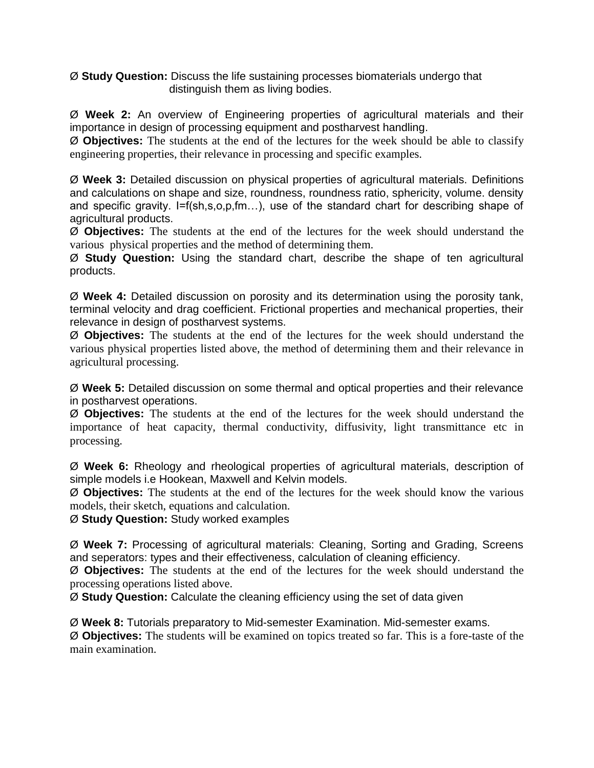Ø **Study Question:** Discuss the life sustaining processes biomaterials undergo that distinguish them as living bodies.

Ø **Week 2:** An overview of Engineering properties of agricultural materials and their importance in design of processing equipment and postharvest handling.

Ø **Objectives:** The students at the end of the lectures for the week should be able to classify engineering properties, their relevance in processing and specific examples.

Ø **Week 3:** Detailed discussion on physical properties of agricultural materials. Definitions and calculations on shape and size, roundness, roundness ratio, sphericity, volume. density and specific gravity. I=f(sh,s,o,p,fm...), use of the standard chart for describing shape of agricultural products.

Ø **Objectives:** The students at the end of the lectures for the week should understand the various physical properties and the method of determining them.

Ø **Study Question:** Using the standard chart, describe the shape of ten agricultural products.

Ø **Week 4:** Detailed discussion on porosity and its determination using the porosity tank, terminal velocity and drag coefficient. Frictional properties and mechanical properties, their relevance in design of postharvest systems.

Ø **Objectives:** The students at the end of the lectures for the week should understand the various physical properties listed above, the method of determining them and their relevance in agricultural processing.

Ø **Week 5:** Detailed discussion on some thermal and optical properties and their relevance in postharvest operations.

Ø **Objectives:** The students at the end of the lectures for the week should understand the importance of heat capacity, thermal conductivity, diffusivity, light transmittance etc in processing.

Ø **Week 6:** Rheology and rheological properties of agricultural materials, description of simple models i.e Hookean, Maxwell and Kelvin models.

Ø **Objectives:** The students at the end of the lectures for the week should know the various models, their sketch, equations and calculation.

Ø **Study Question:** Study worked examples

Ø **Week 7:** Processing of agricultural materials: Cleaning, Sorting and Grading, Screens and seperators: types and their effectiveness, calculation of cleaning efficiency.

Ø **Objectives:** The students at the end of the lectures for the week should understand the processing operations listed above.

Ø **Study Question:** Calculate the cleaning efficiency using the set of data given

Ø **Week 8:** Tutorials preparatory to Mid-semester Examination. Mid-semester exams.

Ø **Objectives:** The students will be examined on topics treated so far. This is a fore-taste of the main examination.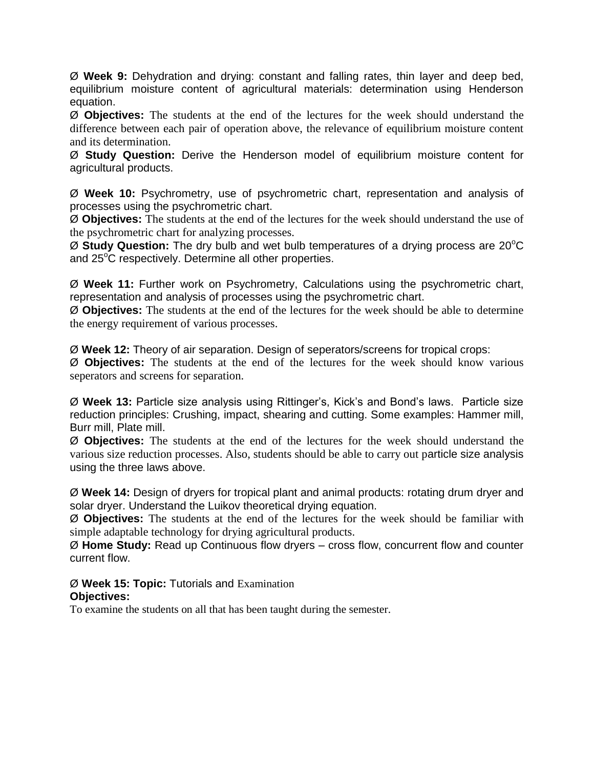Ø **Week 9:** Dehydration and drying: constant and falling rates, thin layer and deep bed, equilibrium moisture content of agricultural materials: determination using Henderson equation.

Ø **Objectives:** The students at the end of the lectures for the week should understand the difference between each pair of operation above, the relevance of equilibrium moisture content and its determination.

Ø **Study Question:** Derive the Henderson model of equilibrium moisture content for agricultural products.

Ø **Week 10:** Psychrometry, use of psychrometric chart, representation and analysis of processes using the psychrometric chart.

Ø **Objectives:** The students at the end of the lectures for the week should understand the use of the psychrometric chart for analyzing processes.

Ø **Study Question:** The dry bulb and wet bulb temperatures of a drying process are 20<sup>o</sup>C and 25<sup>°</sup>C respectively. Determine all other properties.

Ø **Week 11:** Further work on Psychrometry, Calculations using the psychrometric chart, representation and analysis of processes using the psychrometric chart.

Ø **Objectives:** The students at the end of the lectures for the week should be able to determine the energy requirement of various processes.

Ø **Week 12:** Theory of air separation. Design of seperators/screens for tropical crops:

Ø **Objectives:** The students at the end of the lectures for the week should know various seperators and screens for separation.

Ø **Week 13:** Particle size analysis using Rittinger's, Kick's and Bond's laws. Particle size reduction principles: Crushing, impact, shearing and cutting. Some examples: Hammer mill, Burr mill, Plate mill.

Ø **Objectives:** The students at the end of the lectures for the week should understand the various size reduction processes. Also, students should be able to carry out particle size analysis using the three laws above.

Ø **Week 14:** Design of dryers for tropical plant and animal products: rotating drum dryer and solar dryer. Understand the Luikov theoretical drying equation.

Ø **Objectives:** The students at the end of the lectures for the week should be familiar with simple adaptable technology for drying agricultural products.

Ø **Home Study:** Read up Continuous flow dryers – cross flow, concurrent flow and counter current flow.

Ø **Week 15: Topic:** Tutorials and Examination **Objectives:**

To examine the students on all that has been taught during the semester.